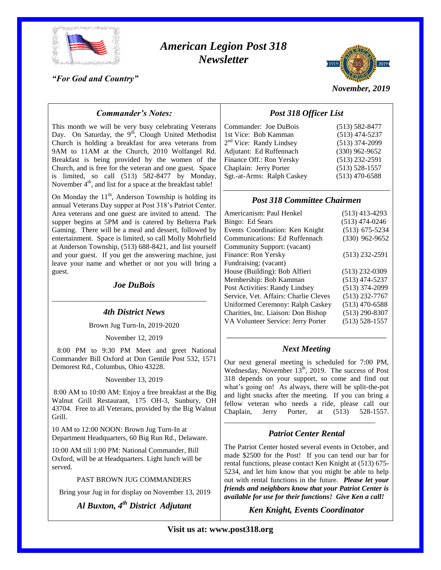

# *American Legion Post 318 Newsletter*

*"For God and Country"*



*November, 2019*

## *Commander's Notes:*

This month we will be very busy celebrating Veterans Day. On Saturday, the  $9<sup>th</sup>$ , Clough United Methodist Church is holding a breakfast for area veterans from 9AM to 11AM at the Church, 2010 Wolfangel Rd. Breakfast is being provided by the women of the Church, and is free for the veteran and one guest. Space is limited, so call (513) 582-8477 by Monday, November 4<sup>th</sup>, and list for a space at the breakfast table!

On Monday the  $11<sup>th</sup>$ , Anderson Township is holding its annual Veterans Day supper at Post 318's Patriot Center. Area veterans and one guest are invited to attend. The supper begins at 5PM and is catered by Belterra Park Gaming. There will be a meal and dessert, followed by entertainment. Space is limited, so call Molly Mohrfield at Anderson Township, (513) 688-8421, and list yourself and your guest. If you get the answering machine, just leave your name and whether or not you will bring a guest.

### *Joe DuBois*

\_\_\_\_\_\_\_\_\_\_\_\_\_\_\_\_\_\_\_\_\_\_\_\_\_\_\_\_\_\_\_\_\_\_\_\_\_\_\_\_\_\_\_

### *4th District News*

Brown Jug Turn-In, 2019-2020

November 12, 2019

 8:00 PM to 9:30 PM Meet and greet National Commander Bill Oxford at Don Gentile Post 532, 1571 Demorest Rd., Columbus, Ohio 43228.

November 13, 2019

8:00 AM to 10:00 AM: Enjoy a free breakfast at the Big Walnut Grill Restaurant, 175 OH-3, Sunbury, OH 43704. Free to all Veterans, provided by the Big Walnut Grill.

10 AM to 12:00 NOON: Brown Jug Turn-In at Department Headquarters, 60 Big Run Rd., Delaware.

10:00 AM till 1:00 PM: National Commander, Bill Oxford, will be at Headquarters. Light lunch will be served.

#### PAST BROWN JUG COMMANDERS

Bring your Jug in for display on November 13, 2019

*Al Buxton, 4th District Adjutant*

## *Post 318 Officer List*

| Commander: Joe DuBois               | $(513) 582 - 8477$ |
|-------------------------------------|--------------------|
| 1st Vice: Bob Kamman                | $(513)$ 474-5237   |
| 2 <sup>nd</sup> Vice: Randy Lindsey | $(513)$ 374-2099   |
| Adjutant: Ed Ruffennach             | $(330)$ 962-9652   |
| Finance Off.: Ron Yersky            | $(513)$ 232-2591   |
| Chaplain: Jerry Porter              | $(513) 528 - 1557$ |
| Sgt.-at-Arms: Ralph Caskey          | $(513)$ 470-6588   |
|                                     |                    |

## *Post 318 Committee Chairmen*

| $(513)$ 413-4293   |
|--------------------|
| $(513)$ 474-0246   |
| $(513)$ 675-5234   |
| $(330)$ 962-9652   |
|                    |
| $(513)$ 232-2591   |
|                    |
| $(513)$ 232-0309   |
| $(513)$ 474-5237   |
| $(513)$ 374-2099   |
| $(513)$ 232-7767   |
| $(513)$ 470-6588   |
| $(513)$ 290-8307   |
| $(513) 528 - 1557$ |
|                    |

## \_\_\_\_\_\_\_\_\_\_\_\_\_\_\_\_\_\_\_\_\_\_\_\_\_\_\_\_\_\_\_\_\_\_\_\_\_ *Next Meeting*

Our next general meeting is scheduled for 7:00 PM, Wednesday, November  $13<sup>th</sup>$ , 2019. The success of Post 318 depends on your support, so come and find out what's going on! As always, there will be split-the-pot and light snacks after the meeting. If you can bring a fellow veteran who needs a ride, please call our Chaplain, Jerry Porter, at (513) 528-1557.

## *Patriot Center Rental*

\_\_\_\_\_\_\_\_\_\_\_\_\_\_\_\_\_\_\_\_\_\_\_\_\_\_\_\_\_\_\_\_\_\_\_\_\_\_\_\_\_\_

The Patriot Center hosted several events in October, and made \$2500 for the Post! If you can tend our bar for rental functions, please contact Ken Knight at (513) 675- 5234, and let him know that you might be able to help out with rental functions in the future. *Please let your friends and neighbors know that your Patriot Center is available for use for their functions! Give Ken a call!*

## *Ken Knight, Events Coordinator*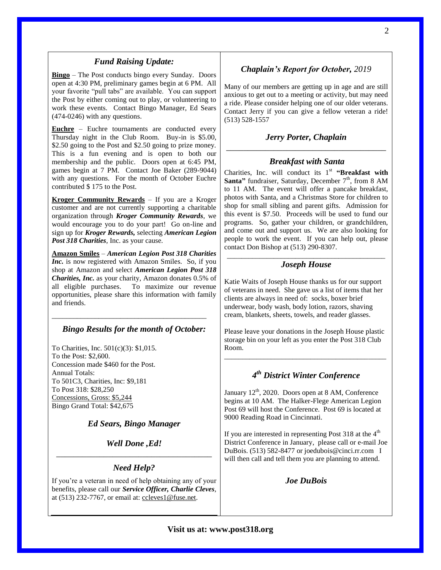#### *Fund Raising Update:*

**Bingo** – The Post conducts bingo every Sunday. Doors open at 4:30 PM, preliminary games begin at 6 PM. All your favorite "pull tabs" are available. You can support the Post by either coming out to play, or volunteering to work these events. Contact Bingo Manager, Ed Sears (474-0246) with any questions.

**Euchre** – Euchre tournaments are conducted every Thursday night in the Club Room. Buy-in is \$5.00, \$2.50 going to the Post and \$2.50 going to prize money. This is a fun evening and is open to both our membership and the public. Doors open at 6:45 PM, games begin at 7 PM. Contact Joe Baker (289-9044) with any questions. For the month of October Euchre contributed \$ 175 to the Post.

**Kroger Community Rewards** – If you are a Kroger customer and are not currently supporting a charitable organization through *Kroger Community Rewards*, we would encourage you to do your part! Go on-line and sign up for *Kroger Rewards,* selecting *American Legion Post 318 Charities*, Inc. as your cause.

**Amazon Smiles** – *American Legion Post 318 Charities Inc.* is now registered with Amazon Smiles. So, if you shop at Amazon and select *American Legion Post 318 Charities, Inc.* as your charity, Amazon donates 0.5% of all eligible purchases. To maximize our revenue opportunities, please share this information with family and friends.

### *Bingo Results for the month of October:*

\_\_\_\_\_\_\_\_\_\_\_\_\_\_\_\_\_\_\_\_\_\_\_\_\_\_\_\_\_\_\_\_\_\_\_\_\_\_\_\_\_\_\_

To Charities, Inc. 501(c)(3): \$1,015. To the Post: \$2,600. Concession made \$460 for the Post. Annual Totals: To 501C3, Charities, Inc: \$9,181 To Post 318: \$28,250 Concessions, Gross: \$5,244 Bingo Grand Total: \$42,675

### *Ed Sears, Bingo Manager*

*Well Done ,Ed!* \_\_\_\_\_\_\_\_\_\_\_\_\_\_\_\_\_\_\_\_\_\_\_\_\_\_\_\_\_\_\_\_\_\_\_\_

#### *Need Help?*

If you're a veteran in need of help obtaining any of your benefits, please call our *Service Officer, Charlie Cleves*, at (513) 232-7767, or email at: [ccleves1@fuse.net.](mailto:ccleves1@fuse.net)

## *Chaplain's Report for October, 2019*

Many of our members are getting up in age and are still anxious to get out to a meeting or activity, but may need a ride. Please consider helping one of our older veterans. Contact Jerry if you can give a fellow veteran a ride! (513) 528-1557

## *Jerry Porter, Chaplain* \_\_\_\_\_\_\_\_\_\_\_\_\_\_\_\_\_\_\_\_\_\_\_\_\_\_\_\_\_\_\_\_\_\_\_\_\_

#### *Breakfast with Santa*

Charities, Inc. will conduct its  $1<sup>st</sup>$  "Breakfast with Santa" fundraiser, Saturday, December 7<sup>th</sup>, from 8 AM to 11 AM. The event will offer a pancake breakfast, photos with Santa, and a Christmas Store for children to shop for small sibling and parent gifts. Admission for this event is \$7.50. Proceeds will be used to fund our programs. So, gather your children, or grandchildren, and come out and support us. We are also looking for people to work the event. If you can help out, please contact Don Bishop at (513) 290-8307.

#### \_\_\_\_\_\_\_\_\_\_\_\_\_\_\_\_\_\_\_\_\_\_\_\_\_\_\_\_\_\_\_\_\_\_\_\_\_\_\_\_\_\_\_\_ *Joseph House*

Katie Waits of Joseph House thanks us for our support of veterans in need. She gave us a list of items that her clients are always in need of: socks, boxer brief underwear, body wash, body lotion, razors, shaving cream, blankets, sheets, towels, and reader glasses.

Please leave your donations in the Joseph House plastic storage bin on your left as you enter the Post 318 Club Room.

\_\_\_\_\_\_\_\_\_\_\_\_\_\_\_\_\_\_\_\_\_\_\_\_\_\_\_\_\_\_\_\_\_\_\_\_\_\_\_\_\_\_\_\_\_

## *4 th District Winter Conference*

January  $12<sup>th</sup>$ , 2020. Doors open at 8 AM, Conference begins at 10 AM. The Halker-Flege American Legion Post 69 will host the Conference. Post 69 is located at 9000 Reading Road in Cincinnati.

If you are interested in representing Post 318 at the  $4<sup>th</sup>$ District Conference in January, please call or e-mail Joe DuBois. (513) 582-8477 or joedubois@cinci.rr.com I will then call and tell them you are planning to attend.

#### *Joe DuBois*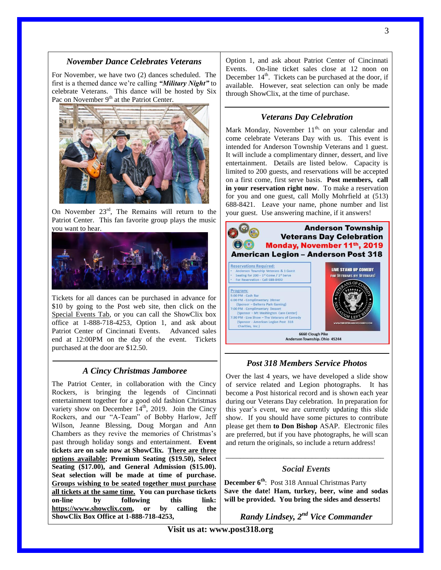For November, we have two (2) dances scheduled. The first is a themed dance we're calling *"Military Night"* to celebrate Veterans. This dance will be hosted by Six Pac on November 9<sup>th</sup> at the Patriot Center.



On November  $23<sup>rd</sup>$ , The Remains will return to the Patriot Center. This fan favorite group plays the music you want to hear.



Tickets for all dances can be purchased in advance for \$10 by going to the Post web site, then click on the Special Events Tab, or you can call the ShowClix box office at 1-888-718-4253, Option 1, and ask about Patriot Center of Cincinnati Events. Advanced sales end at 12:00PM on the day of the event. Tickets purchased at the door are \$12.50.

#### *A Cincy Christmas Jamboree*

The Patriot Center, in collaboration with the Cincy Rockers, is bringing the legends of Cincinnati entertainment together for a good old fashion Christmas variety show on December  $14<sup>th</sup>$ , 2019. Join the Cincy Rockers, and our "A-Team" of Bobby Harlow, Jeff Wilson, Jeanne Blessing, Doug Morgan and Ann Chambers as they revive the memories of Christmas's past through holiday songs and entertainment. **Event tickets are on sale now at ShowClix. There are three options available; Premium Seating (\$19.50), Select Seating (\$17.00), and General Admission (\$15.00). Seat selection will be made at time of purchase. Groups wishing to be seated together must purchase all tickets at the same time. You can purchase tickets on-line by following this link: [https://www.showclix.com,](https://www.showclix.com/) or by calling the ShowClix Box Office at 1-888-718-4253,**

Option 1, and ask about Patriot Center of Cincinnati Events. On-line ticket sales close at 12 noon on December  $14<sup>th</sup>$ . Tickets can be purchased at the door, if available. However, seat selection can only be made through ShowClix, at the time of purchase.

#### *Veterans Day Celebration*

Mark Monday, November  $11<sup>th</sup>$ , on your calendar and come celebrate Veterans Day with us. This event is intended for Anderson Township Veterans and 1 guest. It will include a complimentary dinner, dessert, and live entertainment. Details are listed below. Capacity is limited to 200 guests, and reservations will be accepted on a first come, first serve basis. **Post members, call in your reservation right now**. To make a reservation for you and one guest, call Molly Mohrfield at (513) 688-8421. Leave your name, phone number and list your guest. Use answering machine, if it answers!



### *Post 318 Members Service Photos*

Over the last 4 years, we have developed a slide show of service related and Legion photographs. It has become a Post historical record and is shown each year during our Veterans Day celebration. In preparation for this year's event, we are currently updating this slide show. If you should have some pictures to contribute please get them **to Don Bishop** ASAP. Electronic files are preferred, but if you have photographs, he will scan and return the originals, so include a return address!

## \_\_\_\_\_\_\_\_\_\_\_\_\_\_\_\_\_\_\_\_\_\_\_\_\_\_\_\_\_\_\_\_\_\_\_\_\_\_\_\_\_\_\_\_ *Social Events*

**December 6th**: Post 318 Annual Christmas Party **Save the date! Ham, turkey, beer, wine and sodas will be provided. You bring the sides and desserts!**

*Randy Lindsey, 2nd Vice Commander*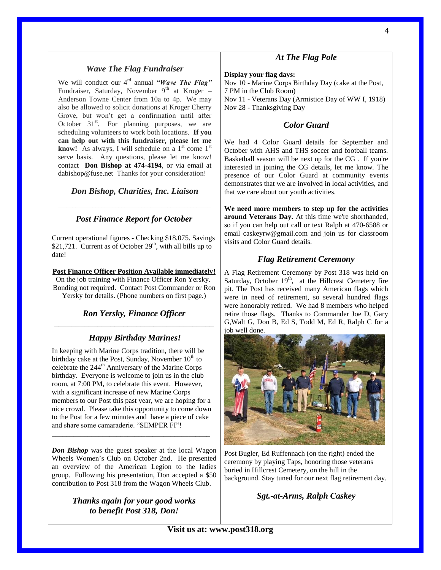## *Wave The Flag Fundraiser*

We will conduct our 4<sup>rd</sup> annual *"Wave The Flag"* Fundraiser, Saturday, November  $9<sup>th</sup>$  at Kroger – Anderson Towne Center from 10a to 4p. We may also be allowed to solicit donations at Kroger Cherry Grove, but won't get a confirmation until after October  $31<sup>st</sup>$ . For planning purposes, we are scheduling volunteers to work both locations. **If you can help out with this fundraiser, please let me**  know! As always, I will schedule on a 1<sup>st</sup> come 1<sup>st</sup> serve basis. Any questions, please let me know! contact **Don Bishop at 474-4194**, or via email at [dabishop@fuse.net](mailto:dabishop@fuse.net) Thanks for your consideration!

## *Don Bishop, Charities, Inc. Liaison \_\_\_\_\_\_\_\_\_\_\_\_\_\_\_\_\_\_\_\_\_\_\_\_\_\_\_\_\_\_\_\_\_\_\_\_\_\_\_\_\_\_\_\_\_\_\_\_\_\_\_\_\_*

## *Post Finance Report for October*

Current operational figures - Checking \$18,075. Savings \$21,721. Current as of October  $29<sup>th</sup>$ , with all bills up to date!

#### **Post Finance Officer Position Available immediately!**

On the job training with Finance Officer Ron Yersky. Bonding not required. Contact Post Commander or Ron Yersky for details. (Phone numbers on first page.)

## *Ron Yersky, Finance Officer* \_\_\_\_\_\_\_\_\_\_\_\_\_\_\_\_\_\_\_\_\_\_\_\_\_\_\_\_\_\_\_\_\_\_\_\_\_

## *Happy Birthday Marines!*

In keeping with Marine Corps tradition, there will be birthday cake at the Post, Sunday, November  $10^{th}$  to celebrate the 244<sup>th</sup> Anniversary of the Marine Corps birthday. Everyone is welcome to join us in the club room, at 7:00 PM, to celebrate this event. However, with a significant increase of new Marine Corps members to our Post this past year, we are hoping for a nice crowd. Please take this opportunity to come down to the Post for a few minutes and have a piece of cake and share some camaraderie. "SEMPER FI"!

\_\_\_\_\_\_\_\_\_\_\_\_\_\_\_\_\_\_\_\_\_\_\_\_\_\_\_\_\_\_\_\_\_\_\_\_\_\_\_\_\_\_\_\_

*Don Bishop* was the guest speaker at the local Wagon Wheels Women's Club on October 2nd. He presented an overview of the American Legion to the ladies group. Following his presentation, Don accepted a \$50 contribution to Post 318 from the Wagon Wheels Club.

> *Thanks again for your good works to benefit Post 318, Don!*

## *At The Flag Pole*

#### **Display your flag days:**

Nov 10 - Marine Corps Birthday Day (cake at the Post, 7 PM in the Club Room) Nov 11 - Veterans Day (Armistice Day of WW I, 1918) Nov 28 - Thanksgiving Day

### *Color Guard*

We had 4 Color Guard details for September and October with AHS and THS soccer and football teams. Basketball season will be next up for the CG . If you're interested in joining the CG details, let me know. The presence of our Color Guard at community events demonstrates that we are involved in local activities, and that we care about our youth activities.

**We need more members to step up for the activities around Veterans Day.** At this time we're shorthanded, so if you can help out call or text Ralph at 470-6588 or email [caskeyrw@gmail.com](mailto:caskeyrw@gmail.com) and join us for classroom visits and Color Guard details.

### *Flag Retirement Ceremony*

A Flag Retirement Ceremony by Post 318 was held on Saturday, October  $19<sup>th</sup>$ , at the Hillcrest Cemetery fire pit. The Post has received many American flags which were in need of retirement, so several hundred flags were honorably retired. We had 8 members who helped retire those flags. Thanks to Commander Joe D, Gary G,Walt G, Don B, Ed S, Todd M, Ed R, Ralph C for a job well done.



Post Bugler, Ed Ruffennach (on the right) ended the ceremony by playing Taps, honoring those veterans buried in Hillcrest Cemetery, on the hill in the background. Stay tuned for our next flag retirement day.

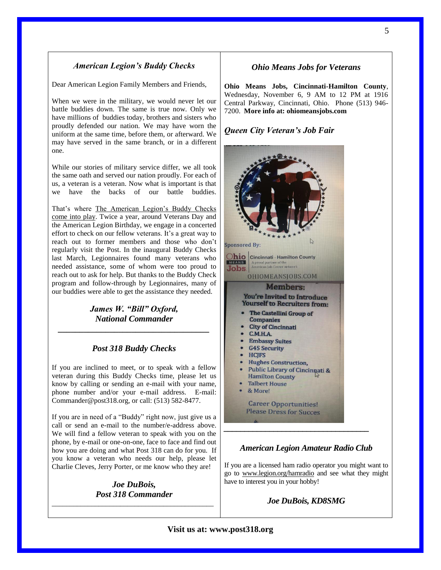## *American Legion's Buddy Checks* c

Dear American Legion Family Members and Friends, u

When we were in the military, we would never let our when we were m the finitually, we would hever let our battle buddies down. The same is true now. Only we have millions of buddies today, brothers and sisters who proudly defended our nation. We may have worn the uniform at the same time, before them, or afterward. We may have served in the same branch, or in a different one.

While our stories of military service differ, we all took the same oath and served our nation proudly. For each of us, a veteran is a veteran. Now what is important is that we have the backs of our battle buddies.

That's where The American Legion's Buddy Checks [come into play.](http://www.legionemail.com/t/38241607/982172481/81737616/1/84772/?x=09106937) Twice a year, around Veterans Day and the American Legion Birthday, we engage in a concerted effort to check on our fellow veterans. It's a great way to reach out to former members and those who don't reach out to former members and mose who don't<br>regularly visit the Post. In the inaugural Buddy Checks last March, Legionnaires found many veterans who needed assistance, some of whom were too proud to reach out to ask for help. But thanks to the Buddy Check program and follow-through by Legionnaires, many of our buddies were able to get the assistance they needed.

## *James W. "Bill" Oxford, National Commander \_\_\_\_\_\_\_\_\_\_\_\_\_\_\_\_\_\_\_\_\_\_\_\_\_\_\_\_\_\_\_\_\_\_\_*

## *Post 318 Buddy Checks*

If you are inclined to meet, or to speak with a fellow veteran during this Buddy Checks time, please let us know by calling or sending an e-mail with your name, phone number and/or your e-mail address. E-mail: Commander@post318.org, or call: (513) 582-8477.

If you are in need of a "Buddy" right now, just give us a call or send an e-mail to the number/e-address above. We will find a fellow veteran to speak with you on the phone, by e-mail or one-on-one, face to face and find out how you are doing and what Post 318 can do for you. If you know a veteran who needs our help, please let Charlie Cleves, Jerry Porter, or me know who they are!

*Joe DuBois, Post 318 Commander* \_\_\_\_\_\_\_\_\_\_\_\_\_\_\_\_\_\_\_\_\_\_\_\_\_\_\_\_\_\_\_\_\_\_\_\_\_\_\_\_\_\_\_\_\_

## *Ohio Means Jobs for Veterans*

**Ohio Means Jobs, Cincinnati-Hamilton County**, Wednesday, November 6, 9 AM to 12 PM at 1916 Central Parkway, Cincinnati, Ohio. Phone (513) 946- 7200. **More info at: ohiomeansjobs.com**

## *Queen City Veteran's Job Fair*



#### *American Legion Amateur Radio Club*

If you are a licensed ham radio operator you might want to go to [www.legion.org/hamradio](http://www.legion.org/hamradio) and see what they might have to interest you in your hobby!

*Joe DuBois, KD8SMG*